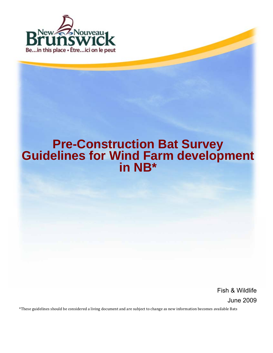

# **Pre-Construction Bat Survey<br>
Guidelines for Wind Farm development<br>
in NB\***

Fish & Wildlife June 2009

\*These guidelines should be considered a living document and are subject to change as new information becomes available Bats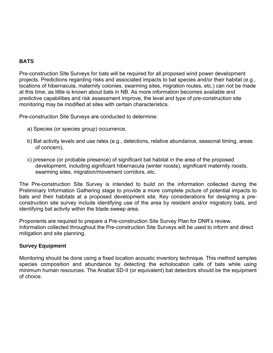# **BATS**

Pre-construction Site Surveys for bats will be required for all proposed wind power development projects. Predictions regarding risks and associated impacts to bat species and/or their habitat (e.g., locations of hibernacula, maternity colonies, swarming sites, migration routes, etc.) can not be made at this time, as little is known about bats in NB. As more information becomes available and predictive capabilities and risk assessment improve, the level and type of pre-construction site monitoring may be modified at sites with certain characteristics.

Pre-construction Site Surveys are conducted to determine:

- a) Species (or species group) occurrence,
- b) Bat activity levels and use rates (e.g., detections, relative abundance, seasonal timing, areas of concern),
- c) presence (or probable presence) of significant bat habitat in the area of the proposed development, including significant hibernacula (winter roosts), significant maternity roosts, swarming sites, migration/movement corridors, etc.

The Pre-construction Site Survey is intended to build on the information collected during the Preliminary Information Gathering stage to provide a more complete picture of potential impacts to bats and their habitats at a proposed development site. Key considerations for designing a preconstruction site survey include identifying use of the area by resident and/or migratory bats, and identifying bat activity within the blade sweep area.

Proponents are required to prepare a Pre-construction Site Survey Plan for DNR's review. Information collected throughout the Pre-construction Site Surveys will be used to inform and direct mitigation and site planning.

# **Survey Equipment**

Monitoring should be done using a fixed location acoustic inventory technique. This method samples species composition and abundance by detecting the echolocation calls of bats while using minimum human resources. The Anabat SD-II (or equivalent) bat detectors should be the equipment of choice.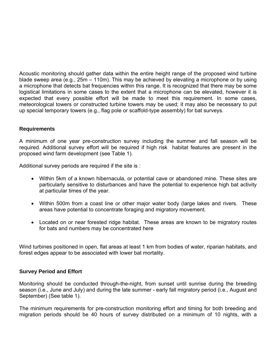Acoustic monitoring should gather data within the entire height range of the proposed wind turbine blade sweep area (e.g., 25m – 110m). This may be achieved by elevating a microphone or by using a microphone that detects bat frequencies within this range. It is recognized that there may be some logistical limitations in some cases to the extent that a microphone can be elevated, however it is expected that every possible effort will be made to meet this requirement. In some cases, meteorological towers or constructed turbine towers may be used; it may also be necessary to put up special temporary towers (e.g., flag pole or scaffold-type assembly) for bat surveys.

# **Requirements**

A minimum of one year pre-construction survey including the summer and fall season will be required. Additional survey effort will be required if high risk habitat features are present in the proposed wind farm development (see Table 1).

Additional survey periods are required if the site is :

- Within 5km of a known hibernacula, or potential cave or abandoned mine. These sites are particularly sensitive to disturbances and have the potential to experience high bat activity at particular times of the year.
- Within 500m from a coast line or other major water body (large lakes and rivers. These areas have potential to concentrate foraging and migratory movement.
- Located on or near forested ridge habitat. These areas are known to be migratory routes for bats and numbers may be concentrated here

Wind turbines positioned in open, flat areas at least 1 km from bodies of water, riparian habitats, and forest edges appear to be associated with lower bat mortality.

# **Survey Period and Effort**

Monitoring should be conducted through-the-night, from sunset until sunrise during the breeding season (i.e., June and July) and during the late summer - early fall migratory period (i.e., August and September) (See table 1).

The minimum requirements for pre-construction monitoring effort and timing for both breeding and migration periods should be 40 hours of survey distributed on a minimum of 10 nights, with a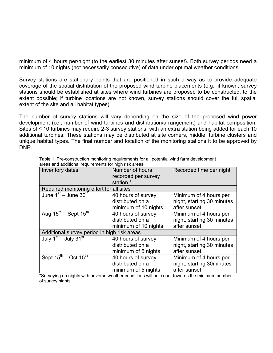minimum of 4 hours per/night (to the earliest 30 minutes after sunset). Both survey periods need a minimum of 10 nights (not necessarily consecutive) of data under optimal weather conditions.

Survey stations are stationary points that are positioned in such a way as to provide adequate coverage of the spatial distribution of the proposed wind turbine placements (e.g., if known, survey stations should be established at sites where wind turbines are proposed to be constructed, to the extent possible; if turbine locations are not known, survey stations should cover the full spatial extent of the site and all habitat types).

The number of survey stations will vary depending on the size of the proposed wind power development (i.e., number of wind turbines and distribution/arrangement) and habitat composition. Sites of ≤ 10 turbines may require 2-3 survey stations, with an extra station being added for each 10 additional turbines. These stations may be distributed at site corners, middle, turbine clusters and unique habitat types. The final number and location of the monitoring stations it to be approved by DNR.

| aroao ama aaannoman roqumomonto rommgm non aroao.<br>Inventory dates | Number of hours      | Recorded time per night    |
|----------------------------------------------------------------------|----------------------|----------------------------|
|                                                                      |                      |                            |
|                                                                      | recorded per survey  |                            |
|                                                                      | station *            |                            |
| Required monitoring effort for all sites                             |                      |                            |
| June $1st$ – June $30th$                                             | 40 hours of survey   | Minimum of 4 hours per     |
|                                                                      | distributed on a     | night, starting 30 minutes |
|                                                                      | minimum of 10 nights | after sunset               |
|                                                                      |                      |                            |
| Aug $15^{\text{th}}$ – Sept $15^{\text{th}}$                         | 40 hours of survey   | Minimum of 4 hours per     |
|                                                                      | distributed on a     | night, starting 30 minutes |
|                                                                      | minimum of 10 nights | after sunset               |
| Additional survey period in high risk areas                          |                      |                            |
| July 1st - July 31st                                                 | 40 hours of survey   | Minimum of 4 hours per     |
|                                                                      | distributed on a     | night, starting 30 minutes |
|                                                                      | minimum of 5 nights  | after sunset               |
| Sept $15^{\text{th}}$ – Oct $15^{\text{th}}$                         | 40 hours of survey   | Minimum of 4 hours per     |
|                                                                      | distributed on a     | night, starting 30 minutes |
|                                                                      | minimum of 5 nights  | after sunset               |

Table 1. Pre-construction monitoring requirements for all potential wind farm development areas and additional requirements for high risk areas.

\*Surveying on nights with adverse weather conditions will not count towards the minimum number of survey nights